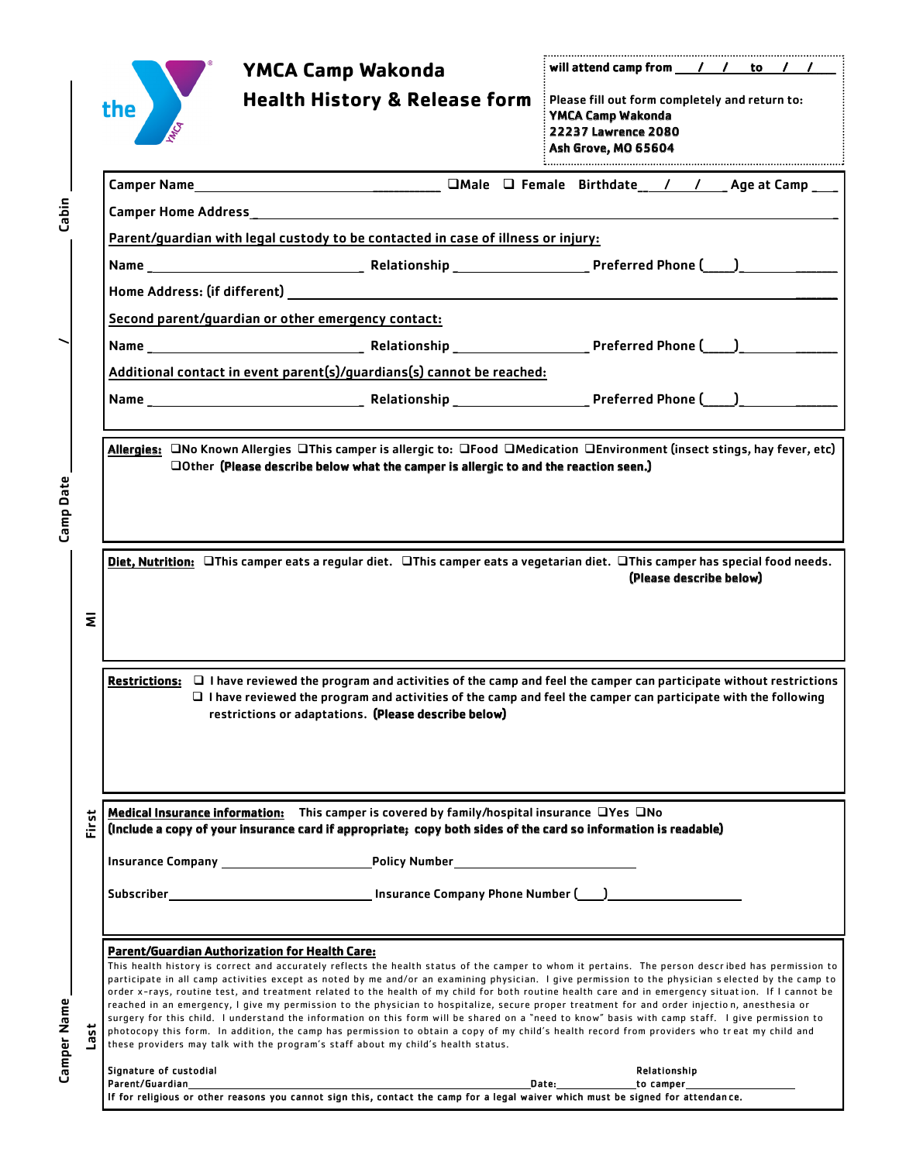|             |       | <b>YMCA Camp Wakonda</b>                                                                                                                                                                                                                                                                                                                                                                                                                                                                                                                                                                                                                                                                                                                                                                                                                                                                                                                                                                                                                                                                                        | will attend camp from $\frac{1}{\sqrt{1-\frac{1}{1-\frac{1}{1-\frac{1}{1-\frac{1}{1-\frac{1}{1-\frac{1}{1-\frac{1}{1-\frac{1}{1-\frac{1}{1-\frac{1}{1-\frac{1}{1-\frac{1}{1-\frac{1}{1-\frac{1}{1-\frac{1}{1-\frac{1}{1-\frac{1}{1-\frac{1}{1-\frac{1}{1-\frac{1}{1-\frac{1}{1-\frac{1}{1-\frac{1}{1-\frac{1}{1-\frac{1}{1-\frac{1}{1-\frac{1}{1-\frac{1}{1-\frac{1}{1-\frac{1}{1-\frac{1}{1-\frac{$ |  |  |  |
|-------------|-------|-----------------------------------------------------------------------------------------------------------------------------------------------------------------------------------------------------------------------------------------------------------------------------------------------------------------------------------------------------------------------------------------------------------------------------------------------------------------------------------------------------------------------------------------------------------------------------------------------------------------------------------------------------------------------------------------------------------------------------------------------------------------------------------------------------------------------------------------------------------------------------------------------------------------------------------------------------------------------------------------------------------------------------------------------------------------------------------------------------------------|------------------------------------------------------------------------------------------------------------------------------------------------------------------------------------------------------------------------------------------------------------------------------------------------------------------------------------------------------------------------------------------------------|--|--|--|
|             |       | Health History & Release form Please fill out form completely and return to:<br>the                                                                                                                                                                                                                                                                                                                                                                                                                                                                                                                                                                                                                                                                                                                                                                                                                                                                                                                                                                                                                             | YMCA Camp Wakonda<br>22237 Lawrence 2080<br>Ash Grove, MO 65604                                                                                                                                                                                                                                                                                                                                      |  |  |  |
|             |       |                                                                                                                                                                                                                                                                                                                                                                                                                                                                                                                                                                                                                                                                                                                                                                                                                                                                                                                                                                                                                                                                                                                 |                                                                                                                                                                                                                                                                                                                                                                                                      |  |  |  |
| Cabin       |       |                                                                                                                                                                                                                                                                                                                                                                                                                                                                                                                                                                                                                                                                                                                                                                                                                                                                                                                                                                                                                                                                                                                 |                                                                                                                                                                                                                                                                                                                                                                                                      |  |  |  |
|             |       | Parent/guardian with legal custody to be contacted in case of illness or injury:                                                                                                                                                                                                                                                                                                                                                                                                                                                                                                                                                                                                                                                                                                                                                                                                                                                                                                                                                                                                                                |                                                                                                                                                                                                                                                                                                                                                                                                      |  |  |  |
|             |       |                                                                                                                                                                                                                                                                                                                                                                                                                                                                                                                                                                                                                                                                                                                                                                                                                                                                                                                                                                                                                                                                                                                 |                                                                                                                                                                                                                                                                                                                                                                                                      |  |  |  |
|             |       |                                                                                                                                                                                                                                                                                                                                                                                                                                                                                                                                                                                                                                                                                                                                                                                                                                                                                                                                                                                                                                                                                                                 |                                                                                                                                                                                                                                                                                                                                                                                                      |  |  |  |
|             |       | Second parent/guardian or other emergency contact:                                                                                                                                                                                                                                                                                                                                                                                                                                                                                                                                                                                                                                                                                                                                                                                                                                                                                                                                                                                                                                                              |                                                                                                                                                                                                                                                                                                                                                                                                      |  |  |  |
|             |       |                                                                                                                                                                                                                                                                                                                                                                                                                                                                                                                                                                                                                                                                                                                                                                                                                                                                                                                                                                                                                                                                                                                 |                                                                                                                                                                                                                                                                                                                                                                                                      |  |  |  |
|             |       | Additional contact in event parent(s)/guardians(s) cannot be reached:                                                                                                                                                                                                                                                                                                                                                                                                                                                                                                                                                                                                                                                                                                                                                                                                                                                                                                                                                                                                                                           |                                                                                                                                                                                                                                                                                                                                                                                                      |  |  |  |
|             |       |                                                                                                                                                                                                                                                                                                                                                                                                                                                                                                                                                                                                                                                                                                                                                                                                                                                                                                                                                                                                                                                                                                                 |                                                                                                                                                                                                                                                                                                                                                                                                      |  |  |  |
| Camp Date   |       | Allergies: ONo Known Allergies OThis camper is allergic to: OFood OMedication OEnvironment (insect stings, hay fever, etc)<br>$\Box$ Other (Please describe below what the camper is allergic to and the reaction seen.)                                                                                                                                                                                                                                                                                                                                                                                                                                                                                                                                                                                                                                                                                                                                                                                                                                                                                        |                                                                                                                                                                                                                                                                                                                                                                                                      |  |  |  |
|             | Ξ     | Diet, Nutrition: OThis camper eats a regular diet. OThis camper eats a vegetarian diet. OThis camper has special food needs.<br>(Please describe below)                                                                                                                                                                                                                                                                                                                                                                                                                                                                                                                                                                                                                                                                                                                                                                                                                                                                                                                                                         |                                                                                                                                                                                                                                                                                                                                                                                                      |  |  |  |
|             |       | Restrictions: $\Box$ I have reviewed the program and activities of the camp and feel the camper can participate without restrictions<br>$\Box$ I have reviewed the program and activities of the camp and feel the camper can participate with the following<br>restrictions or adaptations. (Please describe below)                                                                                                                                                                                                                                                                                                                                                                                                                                                                                                                                                                                                                                                                                                                                                                                            |                                                                                                                                                                                                                                                                                                                                                                                                      |  |  |  |
|             | First | <b>Medical Insurance information:</b> This camper is covered by family/hospital insurance $\Box$ Yes $\Box$ No<br>(Include a copy of your insurance card if appropriate; copy both sides of the card so information is readable)                                                                                                                                                                                                                                                                                                                                                                                                                                                                                                                                                                                                                                                                                                                                                                                                                                                                                |                                                                                                                                                                                                                                                                                                                                                                                                      |  |  |  |
|             |       |                                                                                                                                                                                                                                                                                                                                                                                                                                                                                                                                                                                                                                                                                                                                                                                                                                                                                                                                                                                                                                                                                                                 |                                                                                                                                                                                                                                                                                                                                                                                                      |  |  |  |
|             |       |                                                                                                                                                                                                                                                                                                                                                                                                                                                                                                                                                                                                                                                                                                                                                                                                                                                                                                                                                                                                                                                                                                                 |                                                                                                                                                                                                                                                                                                                                                                                                      |  |  |  |
| Camper Name | Last  | <b>Parent/Guardian Authorization for Health Care:</b><br>This health history is correct and accurately reflects the health status of the camper to whom it pertains. The person described has permission to<br>participate in all camp activities except as noted by me and/or an examining physician. I give permission to the physician selected by the camp to<br>order x-rays, routine test, and treatment related to the health of my child for both routine health care and in emergency situation. If I cannot be<br>reached in an emergency, I give my permission to the physician to hospitalize, secure proper treatment for and order injection, anesthesia or<br>surgery for this child. I understand the information on this form will be shared on a "need to know" basis with camp staff. I give permission to<br>photocopy this form. In addition, the camp has permission to obtain a copy of my child's health record from providers who treat my child and<br>these providers may talk with the program's staff about my child's health status.<br>Signature of custodial<br>Parent/Guardian | Relationship<br>Date: the contract of the contract of the contract of the contract of the contract of the contract of the contract of the contract of the contract of the contract of the contract of the contract of the contract of the cont<br>to camper                                                                                                                                          |  |  |  |
|             |       | If for religious or other reasons you cannot sign this, contact the camp for a legal waiver which must be signed for attendance.                                                                                                                                                                                                                                                                                                                                                                                                                                                                                                                                                                                                                                                                                                                                                                                                                                                                                                                                                                                |                                                                                                                                                                                                                                                                                                                                                                                                      |  |  |  |